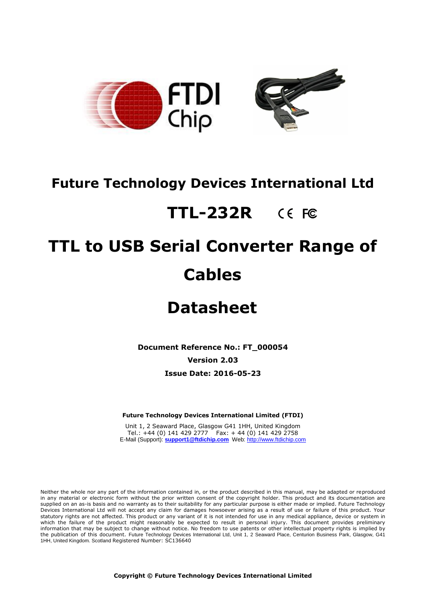

## **Future Technology Devices International Ltd**

# **TTL-232R**

# **TTL to USB Serial Converter Range of Cables**

## **Datasheet**

**Document Reference No.: FT\_000054**

**Version 2.03**

**Issue Date: 2016-05-23**

**Future Technology Devices International Limited (FTDI)**

Unit 1, 2 Seaward Place, Glasgow G41 1HH, United Kingdom Tel.: +44 (0) 141 429 2777 Fax: + 44 (0) 141 429 2758 E-Mail (Support): **[support1@ftdichip.com](mailto:support1@ftdichip.com)** Web[: http://www.ftdichip.com](http://www.ftdichip.com/)

Neither the whole nor any part of the information contained in, or the product described in this manual, may be adapted or reproduced in any material or electronic form without the prior written consent of the copyright holder. This product and its documentation are supplied on an as-is basis and no warranty as to their suitability for any particular purpose is either made or implied. Future Technology Devices International Ltd will not accept any claim for damages howsoever arising as a result of use or failure of this product. Your statutory rights are not affected. This product or any variant of it is not intended for use in any medical appliance, device or system in which the failure of the product might reasonably be expected to result in personal injury. This document provides preliminary information that may be subject to change without notice. No freedom to use patents or other intellectual property rights is implied by the publication of this document. Future Technology Devices International Ltd, Unit 1, 2 Seaward Place, Centurion Business Park, Glasgow, G41 1HH, United Kingdom. Scotland Registered Number: SC136640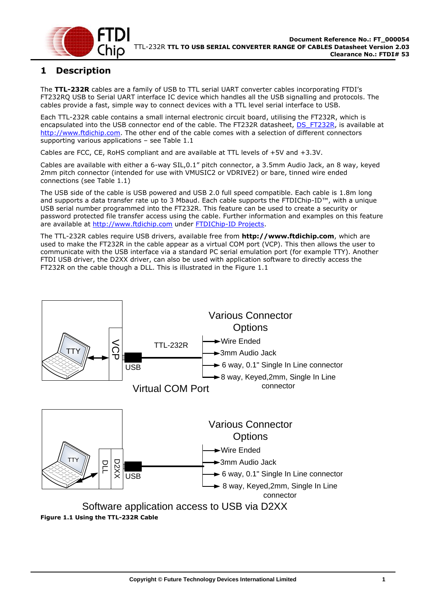

## <span id="page-1-1"></span>**1 Description**

The **TTL-232R** cables are a family of USB to TTL serial UART converter cables incorporating FTDI's FT232RQ USB to Serial UART interface IC device which handles all the USB signalling and protocols. The cables provide a fast, simple way to connect devices with a TTL level serial interface to USB.

Each TTL-232R cable contains a small internal electronic circuit board, utilising the FT232R, which is encapsulated into the USB connector end of the cable. The FT232R datasheet, [DS\\_FT232R,](http://www.ftdichip.com/Documents/DataSheets/DS_FT232R.pdf) is available at [http://www.ftdichip.com.](http://www.ftdichip.com/) The other end of the cable comes with a selection of different connectors supporting various applications – see [Table 1.1](#page-2-0)

Cables are FCC, CE, RoHS compliant and are available at TTL levels of +5V and +3.3V.

Cables are available with either a 6-way SIL,0.1" pitch connector, a 3.5mm Audio Jack, an 8 way, keyed 2mm pitch connector (intended for use with VMUSIC2 or VDRIVE2) or bare, tinned wire ended connections (see [Table 1.1\)](#page-2-0)

The USB side of the cable is USB powered and USB 2.0 full speed compatible. Each cable is 1.8m long and supports a data transfer rate up to 3 Mbaud. Each cable supports the FTDIChip-ID™, with a unique USB serial number programmed into the FT232R. This feature can be used to create a security or password protected file transfer access using the cable. Further information and examples on this feature are available at [http://www.ftdichip.com](http://www.ftdichip.com/) under [FTDIChip-ID Projects.](http://www.ftdichip.com/Projects/FTDIChip-ID.htm)

The TTL-232R cables require USB drivers, available free from **[http://www.ftdichip.com](http://www.ftdichip.com/)**, which are used to make the FT232R in the cable appear as a virtual COM port (VCP). This then allows the user to communicate with the USB interface via a standard PC serial emulation port (for example TTY). Another FTDI USB driver, the D2XX driver, can also be used with application software to directly access the FT232R on the cable though a DLL. This is illustrated in the [Figure 1.1](#page-1-0)

<span id="page-1-0"></span>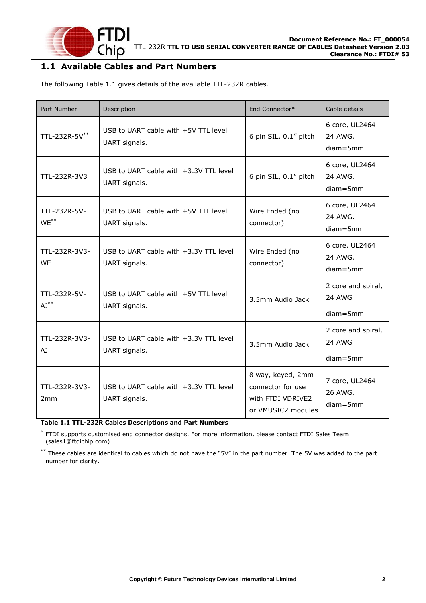

#### <span id="page-2-1"></span>**1.1 Available Cables and Part Numbers**

The following [Table 1.1](#page-2-0) gives details of the available TTL-232R cables.

| Part Number                | Description                                               | End Connector*                                                                    | Cable details                                       |
|----------------------------|-----------------------------------------------------------|-----------------------------------------------------------------------------------|-----------------------------------------------------|
| TTL-232R-5V**              | USB to UART cable with +5V TTL level<br>UART signals.     | 6 pin SIL, 0.1" pitch                                                             | 6 core, UL2464<br>24 AWG,<br>$diam = 5mm$           |
| TTL-232R-3V3               | USB to UART cable with +3.3V TTL level<br>UART signals.   | 6 pin SIL, 0.1" pitch                                                             | 6 core, UL2464<br>24 AWG,<br>$diam = 5mm$           |
| TTL-232R-5V-<br>$WE^{**}$  | USB to UART cable with +5V TTL level<br>UART signals.     | Wire Ended (no<br>connector)                                                      | 6 core, UL2464<br>24 AWG,<br>$diam = 5mm$           |
| TTL-232R-3V3-<br><b>WF</b> | USB to UART cable with +3.3V TTL level<br>UART signals.   | Wire Ended (no<br>connector)                                                      | 6 core, UL2464<br>24 AWG,<br>$diam = 5mm$           |
| TTL-232R-5V-<br>$AJ^{**}$  | USB to UART cable with +5V TTL level<br>UART signals.     | 3.5mm Audio Jack                                                                  | 2 core and spiral,<br><b>24 AWG</b><br>$diam = 5mm$ |
| TTL-232R-3V3-<br>AJ        | USB to UART cable with +3.3V TTL level<br>UART signals.   | 3.5mm Audio Jack                                                                  | 2 core and spiral,<br><b>24 AWG</b><br>$diam = 5mm$ |
| TTL-232R-3V3-<br>2mm       | USB to UART cable with $+3.3V$ TTL level<br>UART signals. | 8 way, keyed, 2mm<br>connector for use<br>with FTDI VDRIVE2<br>or VMUSIC2 modules | 7 core, UL2464<br>26 AWG,<br>$diam = 5mm$           |

<span id="page-2-0"></span>**Table 1.1 TTL-232R Cables Descriptions and Part Numbers**

\* FTDI supports customised end connector designs. For more information, please contact [FTDI Sales Team](mailto:sales1@ftdichip.com)  [\(sales1@ftdichip.com\)](mailto:sales1@ftdichip.com)

\*\* These cables are identical to cables which do not have the "5V" in the part number. The 5V was added to the part number for clarity.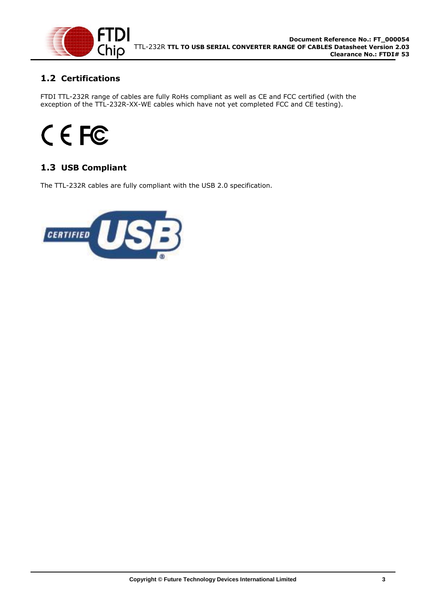

## <span id="page-3-0"></span>**1.2 Certifications**

FTDI TTL-232R range of cables are fully RoHs compliant as well as CE and FCC certified (with the exception of the TTL-232R-XX-WE cables which have not yet completed FCC and CE testing).

# CEFC

## <span id="page-3-1"></span>**1.3 USB Compliant**

<span id="page-3-2"></span>The TTL-232R cables are fully compliant with the USB 2.0 specification.

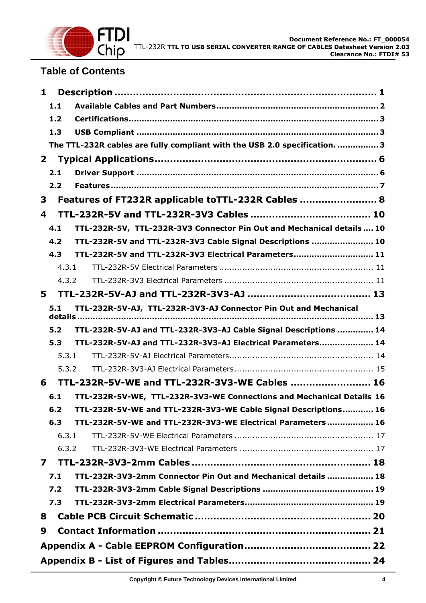

## **Table of Contents**

| $\mathbf{1}$            |                                                                            |
|-------------------------|----------------------------------------------------------------------------|
| 1.1                     |                                                                            |
| 1.2                     |                                                                            |
| 1.3                     |                                                                            |
|                         | The TTL-232R cables are fully compliant with the USB 2.0 specification.  3 |
| $\mathbf{2}$            |                                                                            |
| 2.1                     |                                                                            |
| 2.2                     |                                                                            |
| 3                       | Features of FT232R applicable toTTL-232R Cables  8                         |
| 4                       |                                                                            |
| 4.1                     | TTL-232R-5V, TTL-232R-3V3 Connector Pin Out and Mechanical details  10     |
| 4.2                     | TTL-232R-5V and TTL-232R-3V3 Cable Signal Descriptions  10                 |
| 4.3                     | TTL-232R-5V and TTL-232R-3V3 Electrical Parameters 11                      |
| 4.3.1                   |                                                                            |
| 4.3.2                   |                                                                            |
| 5                       |                                                                            |
| 5.1                     | TTL-232R-5V-AJ, TTL-232R-3V3-AJ Connector Pin Out and Mechanical           |
| 5.2                     | TTL-232R-5V-AJ and TTL-232R-3V3-AJ Cable Signal Descriptions  14           |
| 5.3                     | TTL-232R-5V-AJ and TTL-232R-3V3-AJ Electrical Parameters 14                |
| 5.3.1                   |                                                                            |
| 5.3.2                   |                                                                            |
| 6                       | TTL-232R-5V-WE and TTL-232R-3V3-WE Cables  16                              |
| 6.1                     | TTL-232R-5V-WE, TTL-232R-3V3-WE Connections and Mechanical Details 16      |
| 6.2                     | TTL-232R-5V-WE and TTL-232R-3V3-WE Cable Signal Descriptions 16            |
| 6.3                     | TTL-232R-5V-WE and TTL-232R-3V3-WE Electrical Parameters  16               |
| 6.3.1                   |                                                                            |
| 6.3.2                   |                                                                            |
| $\overline{\mathbf{z}}$ |                                                                            |
| 7.1                     | TTL-232R-3V3-2mm Connector Pin Out and Mechanical details  18              |
| 7.2                     |                                                                            |
| 7.3                     |                                                                            |
| 8                       |                                                                            |
| 9                       |                                                                            |
|                         |                                                                            |
|                         |                                                                            |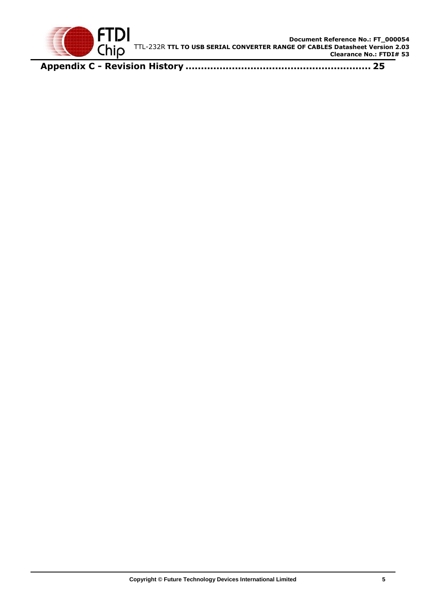

**Appendix C - Revision History [............................................................](#page-25-0) 25**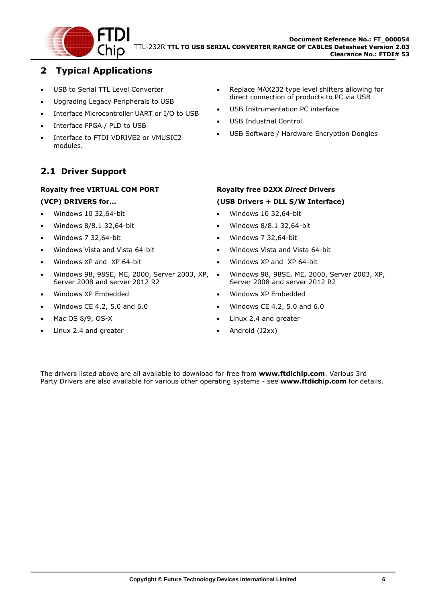

## <span id="page-6-0"></span>**2 Typical Applications**

- USB to Serial TTL Level Converter
- Upgrading Legacy Peripherals to USB
- Interface Microcontroller UART or I/O to USB
- Interface FPGA / PLD to USB
- Interface to FTDI VDRIVE2 or VMUSIC2 modules.

## <span id="page-6-1"></span>**2.1 Driver Support**

#### **Royalty free VIRTUAL COM PORT**

#### **(VCP) DRIVERS for...**

- $W$ indows 10 32,64-bit
- Windows 8/8.1 32,64-bit
- Windows 7 32,64-bit
- Windows Vista and Vista 64-bit
- Windows XP and XP 64-bit
- Windows 98, 98SE, ME, 2000, Server 2003, XP, Server 2008 and server 2012 R2
- Windows XP Embedded
- $\bullet$  Windows CE 4.2, 5.0 and 6.0
- $-Mac OS 8/9$ , OS-X
- Linux 2.4 and greater
- Replace MAX232 type level shifters allowing for direct connection of products to PC via USB
- USB Instrumentation PC interface
- USB Industrial Control
- USB Software / Hardware Encryption Dongles

#### **Royalty free D2XX** *Direct* **Drivers (USB Drivers + DLL S/W Interface)**

- Windows 10 32,64-bit
- Windows 8/8.1 32,64-bit
- Windows 7 32,64-bit
- Windows Vista and Vista 64-bit
- Windows XP and XP 64-bit
- Windows 98, 98SE, ME, 2000, Server 2003, XP, Server 2008 and server 2012 R2
- Windows XP Embedded
- Windows CE 4.2, 5.0 and 6.0
- Linux 2.4 and greater
- Android (J2xx)

The drivers listed above are all available to download for free from **[www.ftdichip.com](http://www.ftdichip.com/)**. Various 3rd Party Drivers are also available for various other operating systems - see **[www.ftdichip.com](http://www.ftdichip.com/)** for details.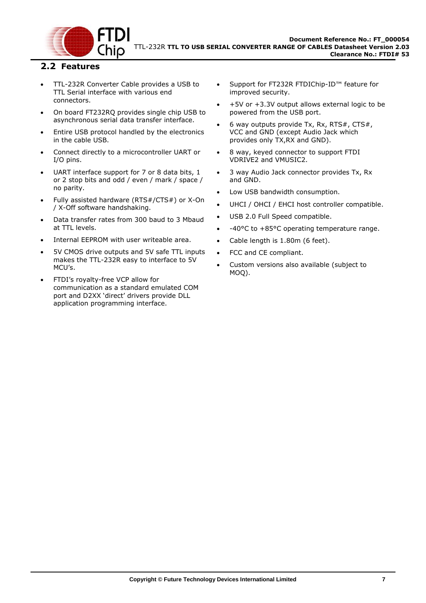

#### <span id="page-7-0"></span>**2.2 Features**

- TTL-232R Converter Cable provides a USB to TTL Serial interface with various end connectors.
- On board FT232RQ provides single chip USB to asynchronous serial data transfer interface.
- Entire USB protocol handled by the electronics in the cable USB.
- Connect directly to a microcontroller UART or I/O pins.
- UART interface support for 7 or 8 data bits, 1 or 2 stop bits and odd / even / mark / space / no parity.
- Fully assisted hardware (RTS#/CTS#) or X-On / X-Off software handshaking.
- Data transfer rates from 300 baud to 3 Mbaud at TTL levels.
- Internal EEPROM with user writeable area.
- 5V CMOS drive outputs and 5V safe TTL inputs makes the TTL-232R easy to interface to 5V MCU's.
- FTDI's royalty-free VCP allow for communication as a standard emulated COM port and D2XX 'direct' drivers provide DLL application programming interface.
- Support for FT232R FTDIChip-ID™ feature for improved security.
- +5V or +3.3V output allows external logic to be powered from the USB port.
- 6 way outputs provide Tx, Rx, RTS#, CTS#, VCC and GND (except Audio Jack which provides only TX,RX and GND).
- 8 way, keyed connector to support FTDI VDRIVE2 and VMUSIC2.
- 3 way Audio Jack connector provides Tx, Rx and GND.
- Low USB bandwidth consumption.
- UHCI / OHCI / EHCI host controller compatible.
- USB 2.0 Full Speed compatible.
- -40°C to +85°C operating temperature range.
- Cable length is 1.80m (6 feet).
- FCC and CE compliant.
- Custom versions also available (subject to MOQ).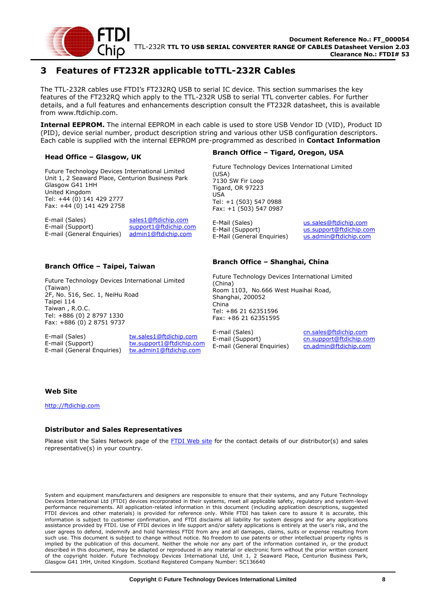

## <span id="page-8-0"></span>**3 Features of FT232R applicable toTTL-232R Cables**

The TTL-232R cables use FTDI's FT232RQ USB to serial IC device. This section summarises the key features of the FT232RQ which apply to the TTL-232R USB to serial TTL converter cables. For further details, and a full features and enhancements description consult the FT232R datasheet, this is available from [www.ftdichip.com.](file://///glaspssv1/General/Engineering/Engineering%20_Documents/DS_TTL-232R/DS_TTL-232R_V200/www.ftdichip.com)

**Internal EEPROM.** The internal EEPROM in each cable is used to store USB Vendor ID (VID), Product ID (PID), device serial number, product description string and various other USB configuration descriptors. Each cable is supplied with the internal EEPROM pre-programmed as described in **[Contact Information](#page-21-0)**

#### **Head Office – Glasgow, UK**

Future Technology Devices International Limited Unit 1, 2 Seaward Place, Centurion Business Park Glasgow G41 1HH United Kingdom Tel: +44 (0) 141 429 2777 Fax: +44 (0) 141 429 2758

E-mail (Sales) sales1@ftdichip.com E-mail (Support) support1@ftdichip.com<br>E-mail (General Enquiries) admin1@ftdichip.com  $E$ -mail (General Enquiries)

#### **Branch Office – Taipei, Taiwan**

Future Technology Devices International Limited (Taiwan) 2F, No. 516, Sec. 1, NeiHu Road Taipei 114 Taiwan , R.O.C. Tel: +886 (0) 2 8797 1330 Fax: +886 (0) 2 8751 9737

 $E$ -mail (General Enquiries)

E-mail (Sales) tw.sales1@ftdichip.com E-mail (Support) tw.support1@ftdichip.com<br>E-mail (General Enguiries) tw.admin1@ftdichip.com

#### **Branch Office – Tigard, Oregon, USA**

Future Technology Devices International Limited (USA) 7130 SW Fir Loop Tigard, OR 97223 USA Tel: +1 (503) 547 0988 Fax: +1 (503) 547 0987

E-Mail (Sales) us.sales@ftdichip.com E-Mail (Support) us.support@ftdichip.com E-Mail (General Enquiries) us.admin@ftdichip.com

#### **Branch Office – Shanghai, China**

Future Technology Devices International Limited (China) Room 1103, No.666 West Huaihai Road, Shanghai, 200052 China Tel: +86 21 62351596 Fax: +86 21 62351595

E-mail (Sales) cn.sales@ftdichip.com E-mail (Support) cn.support@ftdichip.com<br>E-mail (General Enguiries) cn.admin@ftdichip.com E-mail (General Enquiries)

#### **Web Site**

http://ftdichip.com

#### **Distributor and Sales Representatives**

Please visit the Sales Network page of the FTDI Web site for the contact details of our distributor(s) and sales representative(s) in your country.

System and equipment manufacturers and designers are responsible to ensure that their systems, and any Future Technology Devices International Ltd (FTDI) devices incorporated in their systems, meet all applicable safety, regulatory and system-level performance requirements. All application-related information in this document (including application descriptions, suggested FTDI devices and other materials) is provided for reference only. While FTDI has taken care to assure it is accurate, this information is subject to customer confirmation, and FTDI disclaims all liability for system designs and for any applications assistance provided by FTDI. Use of FTDI devices in life support and/or safety applications is entirely at the user's risk, and the user agrees to defend, indemnify and hold harmless FTDI from any and all damages, claims, suits or expense resulting from [such use. This document is subject to change without notice. No freedom to use patents or other intellectual property rights is](#page-21-0)  implied by the publication of this document. Neither the whole nor any part of the information contained in, or the product described in this document, may be adapted or reproduced in any material or electronic form without the prior written consent of the copyright holder. Future Technology Devices International Ltd, Unit 1, 2 Seaward Place, Centurion Business Park, Glasgow G41 1HH, United Kingdom. Scotland Registered Company Number: SC136640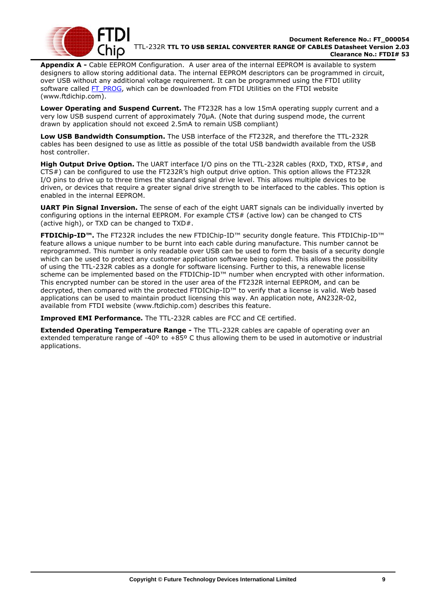

**Appendix A -** Cable [EEPROM Configuration.](#page-21-0) A user area of the internal EEPROM is available to system designers to allow storing additional data. The internal EEPROM descriptors can be programmed in circuit, over USB without any additional voltage requirement. It can be programmed using the FTDI utility software called [FT\\_PROG,](http://www.ftdichip.com/Support/Utilities/FT_Prog_v1.9.zip) which can be downloaded from [FTDI Utilities](http://ftdichip.com/Resources/Utilities.htm) on the [FTDI website](http://www.ftdichip.com/) [\(www.ftdichip.com\)](http://www.ftdichip.com/).

**Lower Operating and Suspend Current.** The FT232R has a low 15mA operating supply current and a very low USB suspend current of approximately 70μA. (Note that during suspend mode, the current drawn by application should not exceed 2.5mA to remain USB compliant)

**Low USB Bandwidth Consumption.** The USB interface of the FT232R, and therefore the TTL-232R cables has been designed to use as little as possible of the total USB bandwidth available from the USB host controller.

**High Output Drive Option.** The UART interface I/O pins on the TTL-232R cables (RXD, TXD, RTS#, and CTS#) can be configured to use the FT232R's high output drive option. This option allows the FT232R I/O pins to drive up to three times the standard signal drive level. This allows multiple devices to be driven, or devices that require a greater signal drive strength to be interfaced to the cables. This option is enabled in the internal EEPROM.

**UART Pin Signal Inversion.** The sense of each of the eight UART signals can be individually inverted by configuring options in the internal EEPROM. For example CTS# (active low) can be changed to CTS (active high), or TXD can be changed to TXD#.

**FTDIChip-ID™.** The FT232R includes the new FTDIChip-ID™ security dongle feature. This FTDIChip-ID™ feature allows a unique number to be burnt into each cable during manufacture. This number cannot be reprogrammed. This number is only readable over USB can be used to form the basis of a security dongle which can be used to protect any customer application software being copied. This allows the possibility of using the TTL-232R cables as a dongle for software licensing. Further to this, a renewable license scheme can be implemented based on the FTDIChip-ID™ number when encrypted with other information. This encrypted number can be stored in the user area of the FT232R internal EEPROM, and can be decrypted, then compared with the protected FTDIChip-ID™ to verify that a license is valid. Web based applications can be used to maintain product licensing this way. An application note, [AN232R-02,](http://ftdichip.com/Documents/AppNotes/AN232R-02_FT232RChipID.pdf) available from [FTDI website](http://www.ftdichip.com/) [\(www.ftdichip.com\)](http://www.ftdichip.com/) describes this feature.

**Improved EMI Performance.** The TTL-232R cables are FCC and CE certified.

**Extended Operating Temperature Range -** The TTL-232R cables are capable of operating over an extended temperature range of -40º to +85º C thus allowing them to be used in automotive or industrial applications.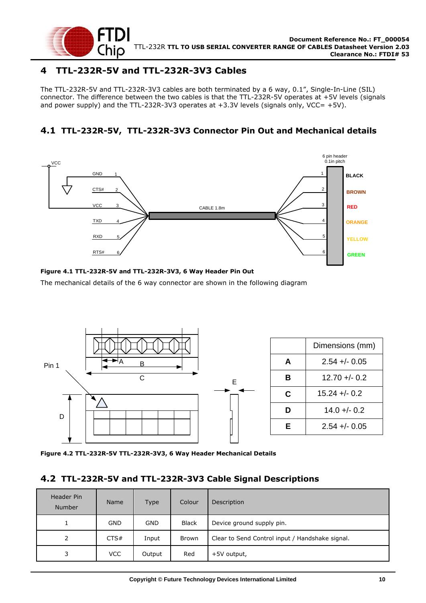

## <span id="page-10-0"></span>**4 TTL-232R-5V and TTL-232R-3V3 Cables**

The TTL-232R-5V and TTL-232R-3V3 cables are both terminated by a 6 way, 0.1", Single-In-Line (SIL) connector. The difference between the two cables is that the TTL-232R-5V operates at +5V levels (signals and power supply) and the TTL-232R-3V3 operates at  $+3.3V$  levels (signals only, VCC=  $+5V$ ).

## <span id="page-10-1"></span>**4.1 TTL-232R-5V, TTL-232R-3V3 Connector Pin Out and Mechanical details**



#### <span id="page-10-3"></span>**Figure 4.1 TTL-232R-5V and TTL-232R-3V3, 6 Way Header Pin Out**

The mechanical details of the 6 way connector are shown in the following diagram



<span id="page-10-4"></span>**Figure 4.2 TTL-232R-5V TTL-232R-3V3, 6 Way Header Mechanical Details**

#### <span id="page-10-2"></span>**4.2 TTL-232R-5V and TTL-232R-3V3 Cable Signal Descriptions**

| Header Pin<br><b>Number</b> | <b>Name</b> | <b>Type</b> | Colour       | Description                                     |
|-----------------------------|-------------|-------------|--------------|-------------------------------------------------|
| 1                           | <b>GND</b>  | <b>GND</b>  | <b>Black</b> | Device ground supply pin.                       |
| 2                           | CTS#        | Input       | <b>Brown</b> | Clear to Send Control input / Handshake signal. |
| 3                           | <b>VCC</b>  | Output      | Red          | +5V output,                                     |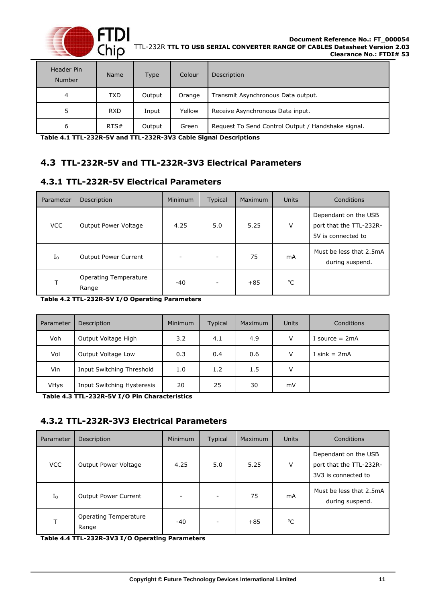

| Header Pin<br><b>Number</b> | <b>Name</b> | <b>Type</b> | Colour | Description                                        |
|-----------------------------|-------------|-------------|--------|----------------------------------------------------|
| 4                           | <b>TXD</b>  | Output      | Orange | Transmit Asynchronous Data output.                 |
| 5                           | <b>RXD</b>  | Input       | Yellow | Receive Asynchronous Data input.                   |
| 6                           | RTS#        | Output      | Green  | Request To Send Control Output / Handshake signal. |

<span id="page-11-3"></span>**Table 4.1 TTL-232R-5V and TTL-232R-3V3 Cable Signal Descriptions**

## <span id="page-11-0"></span>**4.3 TTL-232R-5V and TTL-232R-3V3 Electrical Parameters**

### <span id="page-11-1"></span>**4.3.1 TTL-232R-5V Electrical Parameters**

| Parameter   | Description                           | <b>Minimum</b>           | <b>Typical</b> | Maximum | <b>Units</b> | Conditions                                                            |
|-------------|---------------------------------------|--------------------------|----------------|---------|--------------|-----------------------------------------------------------------------|
| <b>VCC</b>  | Output Power Voltage                  | 4.25                     | 5.0            | 5.25    | V            | Dependant on the USB<br>port that the TTL-232R-<br>5V is connected to |
| $I_{\rm O}$ | <b>Output Power Current</b>           | $\overline{\phantom{a}}$ |                | 75      | mA           | Must be less that 2.5mA<br>during suspend.                            |
| т           | <b>Operating Temperature</b><br>Range | $-40$                    |                | $+85$   | $^{\circ}C$  |                                                                       |

<span id="page-11-4"></span>**Table 4.2 TTL-232R-5V I/O Operating Parameters**

| Parameter   | Description                | <b>Minimum</b> | <b>Typical</b> | <b>Maximum</b> | <b>Units</b> | Conditions       |
|-------------|----------------------------|----------------|----------------|----------------|--------------|------------------|
| Voh         | Output Voltage High        | 3.2            | 4.1            | 4.9            | V            | I source $= 2mA$ |
| Vol         | Output Voltage Low         | 0.3            | 0.4            | 0.6            | V            | I sink = $2mA$   |
| Vin         | Input Switching Threshold  | 1.0            | 1.2            | 1.5            | v            |                  |
| <b>VHys</b> | Input Switching Hysteresis | 20             | 25             | 30             | mV           |                  |

<span id="page-11-5"></span>**Table 4.3 TTL-232R-5V I/O Pin Characteristics**

### <span id="page-11-2"></span>**4.3.2 TTL-232R-3V3 Electrical Parameters**

| Parameter   | Description                    | <b>Minimum</b>           | <b>Typical</b>           | Maximum | <b>Units</b> | Conditions                                                             |
|-------------|--------------------------------|--------------------------|--------------------------|---------|--------------|------------------------------------------------------------------------|
| VCC         | Output Power Voltage           | 4.25                     | 5.0                      | 5.25    | V            | Dependant on the USB<br>port that the TTL-232R-<br>3V3 is connected to |
| $I_{\rm O}$ | <b>Output Power Current</b>    | $\overline{\phantom{a}}$ |                          | 75      | mA           | Must be less that 2.5mA<br>during suspend.                             |
| т           | Operating Temperature<br>Range | $-40$                    | $\overline{\phantom{a}}$ | $+85$   | °C           |                                                                        |

<span id="page-11-6"></span>**Table 4.4 TTL-232R-3V3 I/O Operating Parameters**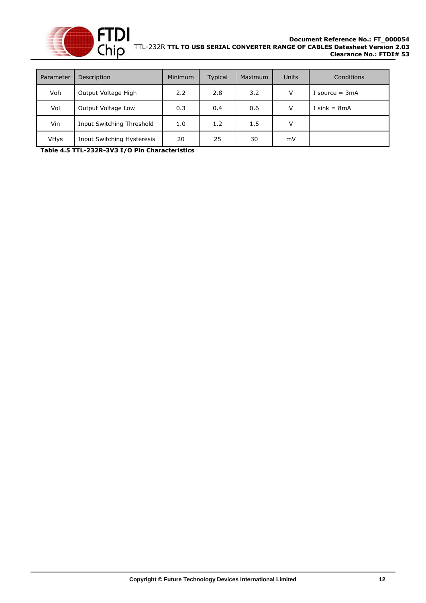

| Parameter   | Description                | <b>Minimum</b> | <b>Typical</b> | <b>Maximum</b> | <b>Units</b> | Conditions       |
|-------------|----------------------------|----------------|----------------|----------------|--------------|------------------|
| Voh         | Output Voltage High        | 2.2            | 2.8            | 3.2            | V            | I source $=$ 3mA |
| Vol         | Output Voltage Low         | 0.3            | 0.4            | 0.6            | v            | I sink = $8mA$   |
| Vin         | Input Switching Threshold  | 1.0            | 1.2            | 1.5            | v            |                  |
| <b>VHys</b> | Input Switching Hysteresis | 20             | 25             | 30             | mV           |                  |

<span id="page-12-0"></span>**Table 4.5 TTL-232R-3V3 I/O Pin Characteristics**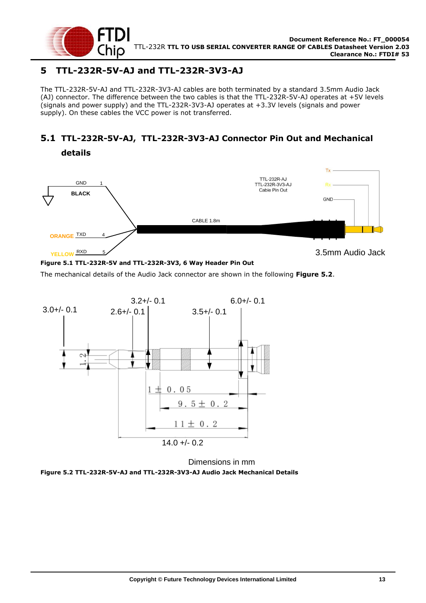

**details**

## <span id="page-13-0"></span>**5 TTL-232R-5V-AJ and TTL-232R-3V3-AJ**

The TTL-232R-5V-AJ and TTL-232R-3V3-AJ cables are both terminated by a standard 3.5mm Audio Jack (AJ) connector. The difference between the two cables is that the TTL-232R-5V-AJ operates at +5V levels (signals and power supply) and the TTL-232R-3V3-AJ operates at +3.3V levels (signals and power supply). On these cables the VCC power is not transferred.

## <span id="page-13-1"></span>**5.1 TTL-232R-5V-AJ, TTL-232R-3V3-AJ Connector Pin Out and Mechanical**



#### <span id="page-13-3"></span>**Figure 5.1 TTL-232R-5V and TTL-232R-3V3, 6 Way Header Pin Out**

The mechanical details of the Audio Jack connector are shown in the following **[Figure 5.2](#page-13-2)**.



Dimensions in mm

<span id="page-13-2"></span>**Figure 5.2 TTL-232R-5V-AJ and TTL-232R-3V3-AJ Audio Jack Mechanical Details**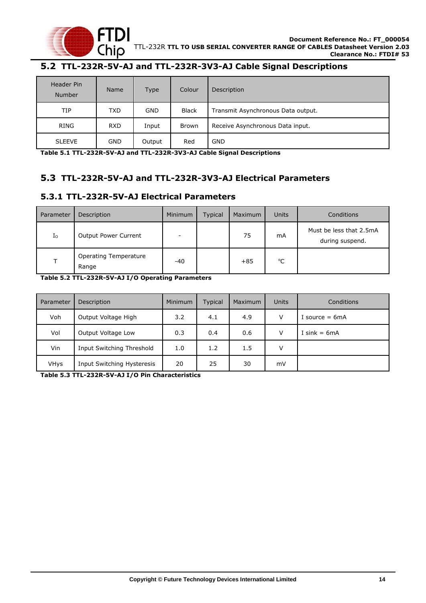

## <span id="page-14-0"></span>**5.2 TTL-232R-5V-AJ and TTL-232R-3V3-AJ Cable Signal Descriptions**

| Header Pin<br>Number | <b>Name</b> | <b>Type</b> | Colour       | Description                        |
|----------------------|-------------|-------------|--------------|------------------------------------|
| TIP                  | <b>TXD</b>  | <b>GND</b>  | <b>Black</b> | Transmit Asynchronous Data output. |
| RING                 | <b>RXD</b>  | Input       | <b>Brown</b> | Receive Asynchronous Data input.   |
| <b>SLEEVE</b>        | <b>GND</b>  | Output      | Red          | <b>GND</b>                         |

<span id="page-14-3"></span>**Table 5.1 TTL-232R-5V-AJ and TTL-232R-3V3-AJ Cable Signal Descriptions**

### <span id="page-14-1"></span>**5.3 TTL-232R-5V-AJ and TTL-232R-3V3-AJ Electrical Parameters**

#### <span id="page-14-2"></span>**5.3.1 TTL-232R-5V-AJ Electrical Parameters**

| Parameter   | Description                    | <b>Minimum</b>           | <b>Typical</b> | Maximum | Units          | Conditions                                 |
|-------------|--------------------------------|--------------------------|----------------|---------|----------------|--------------------------------------------|
| $I_{\rm O}$ | <b>Output Power Current</b>    | $\overline{\phantom{a}}$ |                | 75      | m <sub>A</sub> | Must be less that 2.5mA<br>during suspend. |
|             | Operating Temperature<br>Range | -40                      |                | $+85$   | $^{\circ}$ C   |                                            |

<span id="page-14-4"></span>**Table 5.2 TTL-232R-5V-AJ I/O Operating Parameters**

| Parameter   | Description                | <b>Minimum</b> | Typical | <b>Maximum</b> | Units | Conditions       |
|-------------|----------------------------|----------------|---------|----------------|-------|------------------|
| Voh         | Output Voltage High        | 3.2            | 4.1     | 4.9            | v     | I source $= 6mA$ |
| Vol         | Output Voltage Low         | 0.3            | 0.4     | 0.6            | v     | I sink = $6mA$   |
| Vin         | Input Switching Threshold  | 1.0            | 1.2     | 1.5            | v     |                  |
| <b>VHys</b> | Input Switching Hysteresis | 20             | 25      | 30             | mV    |                  |

<span id="page-14-5"></span>**Table 5.3 TTL-232R-5V-AJ I/O Pin Characteristics**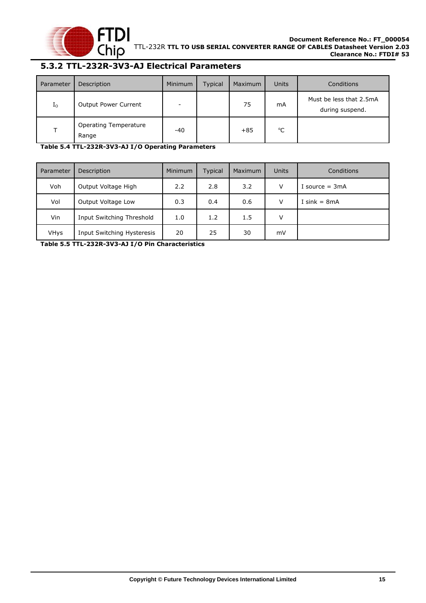

#### <span id="page-15-0"></span>**5.3.2 TTL-232R-3V3-AJ Electrical Parameters**

| Parameter   | Description                           | Minimum                  | <b>Typical</b> | Maximum | <b>Units</b> | Conditions                                 |
|-------------|---------------------------------------|--------------------------|----------------|---------|--------------|--------------------------------------------|
| $I_{\rm O}$ | <b>Output Power Current</b>           | $\overline{\phantom{a}}$ |                | 75      | mA           | Must be less that 2.5mA<br>during suspend. |
| T.          | <b>Operating Temperature</b><br>Range | $-40$                    |                | $+85$   | $^{\circ}$ C |                                            |

<span id="page-15-1"></span>**Table 5.4 TTL-232R-3V3-AJ I/O Operating Parameters**

| Parameter   | Description                | Minimum | <b>Typical</b> | Maximum | Units  | Conditions       |
|-------------|----------------------------|---------|----------------|---------|--------|------------------|
| Voh         | Output Voltage High        | 2.2     | 2.8            | 3.2     | $\vee$ | I source $= 3mA$ |
| Vol         | Output Voltage Low         | 0.3     | 0.4            | 0.6     | V      | I sink = $8mA$   |
| Vin         | Input Switching Threshold  | 1.0     | 1.2            | 1.5     | v      |                  |
| <b>VHys</b> | Input Switching Hysteresis | 20      | 25             | 30      | mV     |                  |

<span id="page-15-2"></span>**Table 5.5 TTL-232R-3V3-AJ I/O Pin Characteristics**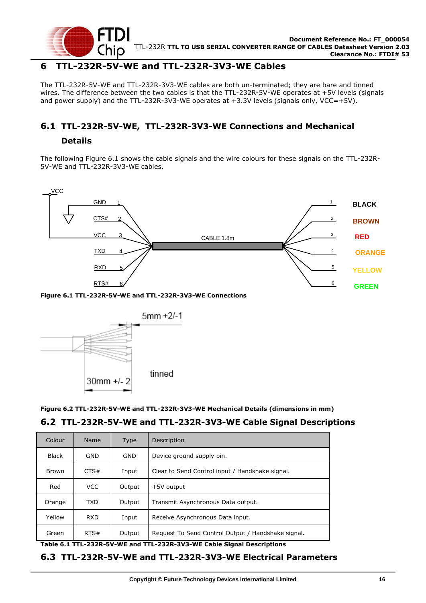

#### <span id="page-16-0"></span>**6 TTL-232R-5V-WE and TTL-232R-3V3-WE Cables**

The TTL-232R-5V-WE and TTL-232R-3V3-WE cables are both un-terminated; they are bare and tinned wires. The difference between the two cables is that the TTL-232R-5V-WE operates at +5V levels (signals and power supply) and the TTL-232R-3V3-WE operates at  $+3.3V$  levels (signals only, VCC=+5V).

### <span id="page-16-1"></span>**6.1 TTL-232R-5V-WE, TTL-232R-3V3-WE Connections and Mechanical**

#### **Details**

The following [Figure 6.1](#page-16-4) shows the cable signals and the wire colours for these signals on the TTL-232R-5V-WE and TTL-232R-3V3-WE cables.



<span id="page-16-4"></span>

#### <span id="page-16-6"></span><span id="page-16-5"></span><span id="page-16-3"></span><span id="page-16-2"></span>**6.2 TTL-232R-5V-WE and TTL-232R-3V3-WE Cable Signal Descriptions**

|                                  | CTS#<br><b>VCC</b><br>TXD<br><b>RXD</b> | 2<br>3<br>4<br>5 | CABLE 1.8m                                                                                    |
|----------------------------------|-----------------------------------------|------------------|-----------------------------------------------------------------------------------------------|
|                                  | RTS#                                    | 6                | Figure 6.1 TTL-232R-5V-WE and TTL-232R-3V3-WE Connections                                     |
|                                  |                                         |                  | $5mm + 2/-1$                                                                                  |
|                                  |                                         |                  |                                                                                               |
|                                  | 30mm +/- 2                              |                  | tinned<br>Figure 6.2 TTL-232R-5V-WE and TTL-232R-3V3-WE Mechanical Details (dimensions in mm) |
| Colour                           | Name                                    | Type             | 6.2 TTL-232R-5V-WE and TTL-232R-3V3-WE Cable Signal Descript<br>Description                   |
| <b>Black</b>                     | <b>GND</b>                              | <b>GND</b>       | Device ground supply pin.                                                                     |
|                                  | CTS#                                    | Input            | Clear to Send Control input / Handshake signal.                                               |
| Red                              | <b>VCC</b>                              | Output           | +5V output                                                                                    |
|                                  | <b>TXD</b>                              | Output           | Transmit Asynchronous Data output.                                                            |
| <b>Brown</b><br>Orange<br>Yellow | <b>RXD</b>                              | Input            | Receive Asynchronous Data input.                                                              |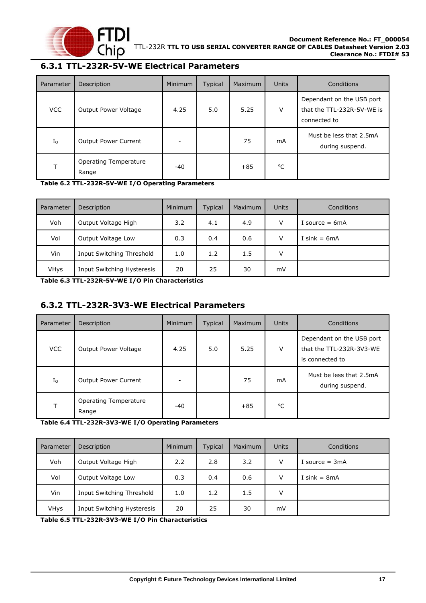

## <span id="page-17-0"></span>**6.3.1 TTL-232R-5V-WE Electrical Parameters**

| Parameter   | Description                           | Minimum | Typical | Maximum | <b>Units</b> | Conditions                                                              |
|-------------|---------------------------------------|---------|---------|---------|--------------|-------------------------------------------------------------------------|
| <b>VCC</b>  | Output Power Voltage                  | 4.25    | 5.0     | 5.25    | $\vee$       | Dependant on the USB port<br>that the TTL-232R-5V-WE is<br>connected to |
| $I_{\rm O}$ | <b>Output Power Current</b>           | -       |         | 75      | mA           | Must be less that 2.5mA<br>during suspend.                              |
|             | <b>Operating Temperature</b><br>Range | $-40$   |         | $+85$   | $^{\circ}C$  |                                                                         |

<span id="page-17-2"></span>**Table 6.2 TTL-232R-5V-WE I/O Operating Parameters**

| Parameter   | Description                | Minimum | <b>Typical</b> | <b>Maximum</b> | <b>Units</b> | Conditions       |
|-------------|----------------------------|---------|----------------|----------------|--------------|------------------|
| Voh         | Output Voltage High        | 3.2     | 4.1            | 4.9            | V            | I source $= 6mA$ |
| Vol         | Output Voltage Low         | 0.3     | 0.4            | 0.6            | $\vee$       | I sink = $6mA$   |
| Vin         | Input Switching Threshold  | 1.0     | 1.2            | 1.5            | V            |                  |
| <b>VHys</b> | Input Switching Hysteresis | 20      | 25             | 30             | mV           |                  |

<span id="page-17-3"></span>**Table 6.3 TTL-232R-5V-WE I/O Pin Characteristics**

### <span id="page-17-1"></span>**6.3.2 TTL-232R-3V3-WE Electrical Parameters**

| Parameter   | Description                           | <b>Minimum</b> | <b>Typical</b> | Maximum | <b>Units</b> | Conditions                                                               |
|-------------|---------------------------------------|----------------|----------------|---------|--------------|--------------------------------------------------------------------------|
| <b>VCC</b>  | Output Power Voltage                  | 4.25           | 5.0            | 5.25    | V            | Dependant on the USB port<br>that the TTL-232R-3V3-WE<br>is connected to |
| $I_{\rm O}$ | <b>Output Power Current</b>           |                |                | 75      | mA           | Must be less that 2.5mA<br>during suspend.                               |
| т           | <b>Operating Temperature</b><br>Range | $-40$          |                | $+85$   | °C           |                                                                          |

<span id="page-17-4"></span>**Table 6.4 TTL-232R-3V3-WE I/O Operating Parameters**

| Parameter | Description                | Minimum | <b>Typical</b> | Maximum | Units  | Conditions       |
|-----------|----------------------------|---------|----------------|---------|--------|------------------|
| Voh       | Output Voltage High        | 2.2     | 2.8            | 3.2     | $\vee$ | I source $= 3mA$ |
| Vol       | Output Voltage Low         | 0.3     | 0.4            | 0.6     | V      | I sink = $8mA$   |
| Vin       | Input Switching Threshold  | 1.0     | 1.2            | 1.5     | v      |                  |
| VHys      | Input Switching Hysteresis | 20      | 25             | 30      | mV     |                  |

<span id="page-17-5"></span>**Table 6.5 TTL-232R-3V3-WE I/O Pin Characteristics**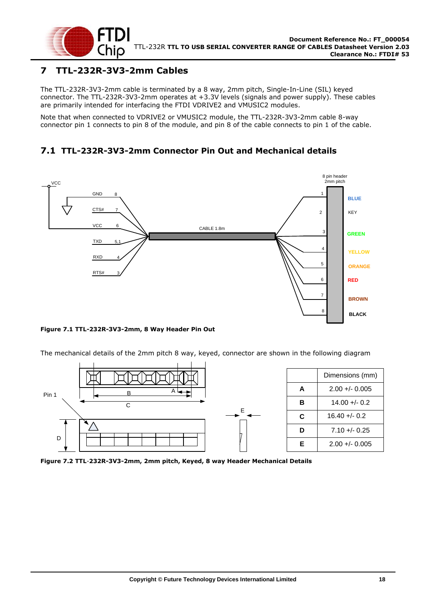

## <span id="page-18-0"></span>**7 TTL-232R-3V3-2mm Cables**

The TTL-232R-3V3-2mm cable is terminated by a 8 way, 2mm pitch, Single-In-Line (SIL) keyed connector. The TTL-232R-3V3-2mm operates at +3.3V levels (signals and power supply). These cables are primarily intended for interfacing the FTDI VDRIVE2 and VMUSIC2 modules.

Note that when connected to VDRIVE2 or VMUSIC2 module, the TTL-232R-3V3-2mm cable 8-way connector pin 1 connects to pin 8 of the module, and pin 8 of the cable connects to pin 1 of the cable.

## <span id="page-18-1"></span>**7.1 TTL-232R-3V3-2mm Connector Pin Out and Mechanical details**



#### <span id="page-18-2"></span>**Figure 7.1 TTL-232R-3V3-2mm, 8 Way Header Pin Out**

The mechanical details of the 2mm pitch 8 way, keyed, connector are shown in the following diagram



<span id="page-18-3"></span>**Figure 7.2 TTL**-**232R-3V3-2mm, 2mm pitch, Keyed, 8 way Header Mechanical Details**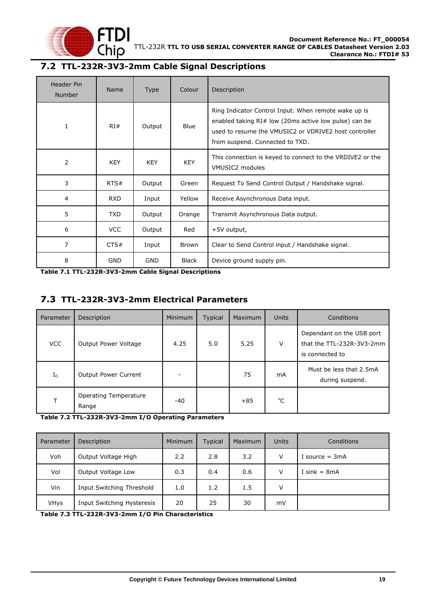

### <span id="page-19-0"></span>**7.2 TTL-232R-3V3-2mm Cable Signal Descriptions**

| Header Pin<br>Number | Name       | <b>Type</b> | Colour       | Description                                                                                                                                                                                                 |
|----------------------|------------|-------------|--------------|-------------------------------------------------------------------------------------------------------------------------------------------------------------------------------------------------------------|
| 1                    | RI#        | Output      | <b>Blue</b>  | Ring Indicator Control Input. When remote wake up is<br>enabled taking $RI#$ low (20ms active low pulse) can be<br>used to resume the VMUSIC2 or VDRIVE2 host controller<br>from suspend. Connected to TXD. |
| 2                    | <b>KEY</b> | <b>KEY</b>  | <b>KEY</b>   | This connection is keyed to connect to the VRDIVE2 or the<br>VMUSIC2 modules                                                                                                                                |
| 3                    | RTS#       | Output      | Green        | Request To Send Control Output / Handshake signal.                                                                                                                                                          |
| 4                    | <b>RXD</b> | Input       | Yellow       | Receive Asynchronous Data input.                                                                                                                                                                            |
| 5                    | TXD        | Output      | Orange       | Transmit Asynchronous Data output.                                                                                                                                                                          |
| 6                    | <b>VCC</b> | Output      | Red          | +5V output,                                                                                                                                                                                                 |
| 7                    | CTS#       | Input       | <b>Brown</b> | Clear to Send Control input / Handshake signal.                                                                                                                                                             |
| 8                    | <b>GND</b> | <b>GND</b>  | Black        | Device ground supply pin.                                                                                                                                                                                   |

<span id="page-19-2"></span>**Table 7.1 TTL-232R-3V3-2mm Cable Signal Descriptions**

#### <span id="page-19-1"></span>**7.3 TTL-232R-3V3-2mm Electrical Parameters**

| Parameter   | Description                           | Minimum | Typical | Maximum | Units        | Conditions                                                                |
|-------------|---------------------------------------|---------|---------|---------|--------------|---------------------------------------------------------------------------|
| <b>VCC</b>  | Output Power Voltage                  | 4.25    | 5.0     | 5.25    | V            | Dependant on the USB port<br>that the TTL-232R-3V3-2mm<br>is connected to |
| $I_{\rm O}$ | <b>Output Power Current</b>           |         |         | 75      | mA           | Must be less that 2.5mA<br>during suspend.                                |
|             | <b>Operating Temperature</b><br>Range | $-40$   |         | $+85$   | $^{\circ}$ C |                                                                           |

<span id="page-19-3"></span>**Table 7.2 TTL-232R-3V3-2mm I/O Operating Parameters**

| Parameter   | Description                | <b>Minimum</b> | Typical | Maximum | Units  | Conditions       |
|-------------|----------------------------|----------------|---------|---------|--------|------------------|
| Voh         | Output Voltage High        | 2.2            | 2.8     | 3.2     | $\vee$ | I source $= 3mA$ |
| Vol         | Output Voltage Low         | 0.3            | 0.4     | 0.6     | V      | I sink = $8mA$   |
| Vin         | Input Switching Threshold  | 1.0            | 1.2     | 1.5     | v      |                  |
| <b>VHys</b> | Input Switching Hysteresis | 20             | 25      | 30      | mV     |                  |

<span id="page-19-4"></span>**Table 7.3 TTL-232R-3V3-2mm I/O Pin Characteristics**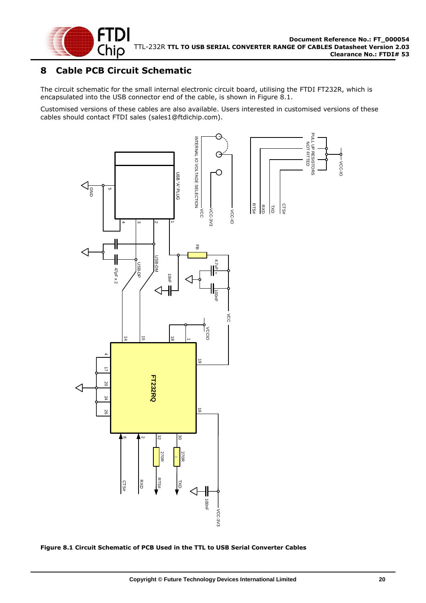

## <span id="page-20-0"></span>**8 Cable PCB Circuit Schematic**

The circuit schematic for the small internal electronic circuit board, utilising the FTDI FT232R, which is encapsulated into the USB connector end of the cable, is shown in [Figure 8.1.](#page-20-1)

Customised versions of these cables are also available. Users interested in customised versions of these cables should contact FTDI sales [\(sales1@ftdichip.com\).](mailto:sales1@ftdichip.com)



<span id="page-20-1"></span>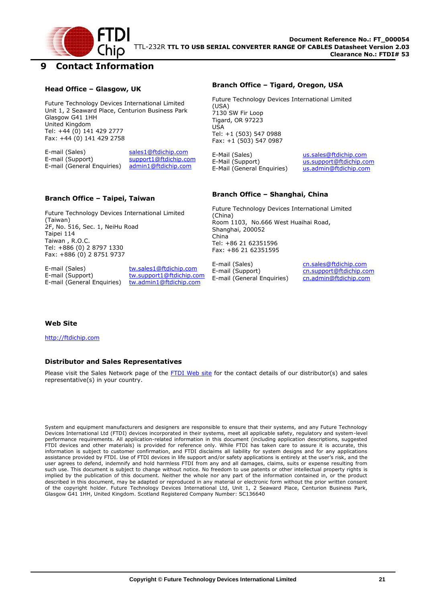

### <span id="page-21-0"></span>**9 Contact Information**

#### **Head Office – Glasgow, UK**

Future Technology Devices International Limited Unit 1, 2 Seaward Place, Centurion Business Park Glasgow G41 1HH United Kingdom Tel: +44 (0) 141 429 2777 Fax: +44 (0) 141 429 2758

E-mail (Sales) sales1@ftdichip.com E-mail (Support) support1@ftdichip.com E-mail (General Enquiries) admin1@ftdichip.com

#### **Branch Office – Tigard, Oregon, USA**

Future Technology Devices International Limited (USA) 7130 SW Fir Loop Tigard, OR 97223 USA Tel: +1 (503) 547 0988 Fax: +1 (503) 547 0987

E-Mail (Sales) us.sales@ftdichip.com<br>E-Mail (Support) us.support@ftdichip.co E-Mail (General Enquiries)

us.support@ftdichip.com<br>us.admin@ftdichip.com

#### **Branch Office – Taipei, Taiwan**

Future Technology Devices International Limited (Taiwan) 2F, No. 516, Sec. 1, NeiHu Road Taipei 114 Taiwan , R.O.C. Tel: +886 (0) 2 8797 1330 Fax: +886 (0) 2 8751 9737

E-mail (Sales) tw.sales1@ftdichip.com E-mail (Support) tw.support1@ftdichip.com<br>E-mail (General Enquiries) tw.admin1@ftdichip.com E-mail (General Enquiries)

#### **Branch Office – Shanghai, China**

Future Technology Devices International Limited (China) Room 1103, No.666 West Huaihai Road, Shanghai, 200052 China Tel: +86 21 62351596 Fax: +86 21 62351595

E-mail (Sales) cn.sales@ftdichip.com E-mail (Support) cn.support@ftdichip.com E-mail (General Enquiries) cn.admin@ftdichip.com

#### **Web Site**

http://ftdichip.com

#### **Distributor and Sales Representatives**

Please visit the Sales Network page of the FTDI Web site for the contact details of our distributor(s) and sales representative(s) in your country.

System and equipment manufacturers and designers are responsible to ensure that their systems, and any Future Technology Devices International Ltd (FTDI) devices incorporated in their systems, meet all applicable safety, regulatory and system-level performance requirements. All application-related information in this document (including application descriptions, suggested FTDI devices and other materials) is provided for reference only. While FTDI has taken care to assure it is accurate, this information is subject to customer confirmation, and FTDI disclaims all liability for system designs and for any applications assistance provided by FTDI. Use of FTDI devices in life support and/or safety applications is entirely at the user's risk, and the user agrees to defend, indemnify and hold harmless FTDI from any and all damages, claims, suits or expense resulting from such use. This document is subject to change without notice. No freedom to use patents or other intellectual property rights is implied by the publication of this document. Neither the whole nor any part of the information contained in, or the product described in this document, may be adapted or reproduced in any material or electronic form without the prior written consent of the copyright holder. Future Technology Devices International Ltd, Unit 1, 2 Seaward Place, Centurion Business Park, Glasgow G41 1HH, United Kingdom. Scotland Registered Company Number: SC136640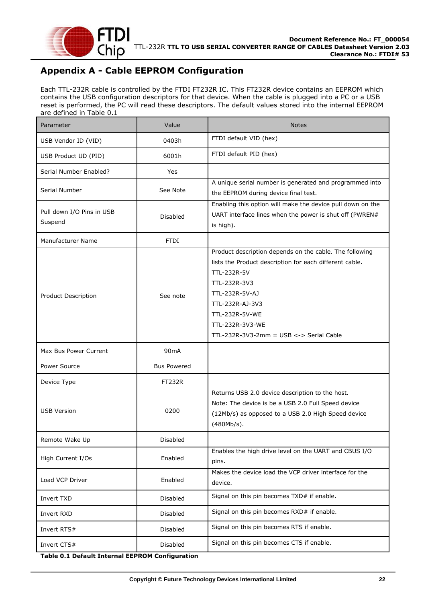

## <span id="page-22-0"></span>**Appendix A - Cable EEPROM Configuration**

Each TTL-232R cable is controlled by the FTDI FT232R IC. This FT232R device contains an EEPROM which contains the USB configuration descriptors for that device. When the cable is plugged into a PC or a USB reset is performed, the PC will read these descriptors. The default values stored into the internal EEPROM are defined in [Table 0.1](#page-22-1)

<span id="page-22-1"></span>

| Parameter                                       | Value              | <b>Notes</b>                                                                                                                                                                                                                                                               |
|-------------------------------------------------|--------------------|----------------------------------------------------------------------------------------------------------------------------------------------------------------------------------------------------------------------------------------------------------------------------|
| USB Vendor ID (VID)                             | 0403h              | FTDI default VID (hex)                                                                                                                                                                                                                                                     |
| USB Product UD (PID)                            | 6001h              | FTDI default PID (hex)                                                                                                                                                                                                                                                     |
| Serial Number Enabled?                          | Yes                |                                                                                                                                                                                                                                                                            |
| Serial Number                                   | See Note           | A unique serial number is generated and programmed into<br>the EEPROM during device final test.                                                                                                                                                                            |
| Pull down I/O Pins in USB<br>Suspend            | <b>Disabled</b>    | Enabling this option will make the device pull down on the<br>UART interface lines when the power is shut off (PWREN#<br>is high).                                                                                                                                         |
| Manufacturer Name                               | <b>FTDI</b>        |                                                                                                                                                                                                                                                                            |
| <b>Product Description</b>                      | See note           | Product description depends on the cable. The following<br>lists the Product description for each different cable.<br>TTL-232R-5V<br>TTL-232R-3V3<br>TTL-232R-5V-AJ<br>TTL-232R-AJ-3V3<br>TTL-232R-5V-WE<br>TTL-232R-3V3-WE<br>TTL-232R-3V3-2mm = $USB \le -$ Serial Cable |
| Max Bus Power Current                           | 90 <sub>m</sub> A  |                                                                                                                                                                                                                                                                            |
| Power Source                                    | <b>Bus Powered</b> |                                                                                                                                                                                                                                                                            |
| Device Type                                     | <b>FT232R</b>      |                                                                                                                                                                                                                                                                            |
| <b>USB Version</b>                              | 0200               | Returns USB 2.0 device description to the host.<br>Note: The device is be a USB 2.0 Full Speed device<br>(12Mb/s) as opposed to a USB 2.0 High Speed device<br>(480Mb/s).                                                                                                  |
| Remote Wake Up                                  | Disabled           |                                                                                                                                                                                                                                                                            |
| High Current I/Os                               | Enabled            | Enables the high drive level on the UART and CBUS I/O<br>pins.                                                                                                                                                                                                             |
| Load VCP Driver                                 | Enabled            | Makes the device load the VCP driver interface for the<br>device.                                                                                                                                                                                                          |
| Invert TXD                                      | <b>Disabled</b>    | Signal on this pin becomes TXD# if enable.                                                                                                                                                                                                                                 |
| Invert RXD                                      | Disabled           | Signal on this pin becomes RXD# if enable.                                                                                                                                                                                                                                 |
| Invert RTS#                                     | Disabled           | Signal on this pin becomes RTS if enable.                                                                                                                                                                                                                                  |
| Invert CTS#                                     | <b>Disabled</b>    | Signal on this pin becomes CTS if enable.                                                                                                                                                                                                                                  |
| Table 0.1 Default Internal EEPROM Configuration |                    |                                                                                                                                                                                                                                                                            |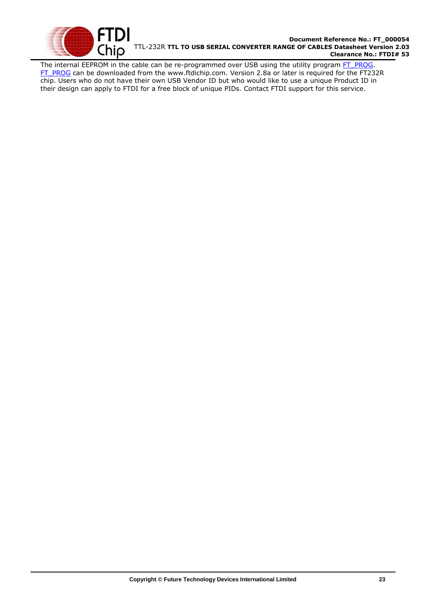

#### **Document Reference No.: FT\_000054** TTL-232R **TTL TO USB SERIAL CONVERTER RANGE OF CABLES Datasheet Version 2.03 Clearance No.: FTDI# 53**

The internal EEPROM in the cable can be re-programmed over USB using the utility program [FT\\_PROG.](http://www.ftdichip.com/Support/Utilities/FT_Prog_v1.9.zip) [FT\\_PROG](http://www.ftdichip.com/Support/Utilities/FT_Prog_v1.9.zip) can be downloaded from the [www.ftdichip.com.](file://///glaspssv1/General/Engineering/Engineering%20_Documents/DS_TTL-232R/DS_TTL-232R_V200/www.ftdichip.com) Version 2.8a or later is required for the FT232R chip. Users who do not have their own USB Vendor ID but who would like to use a unique Product ID in their design can apply to FTDI for a free block of unique PIDs. Contact FTDI support for this service.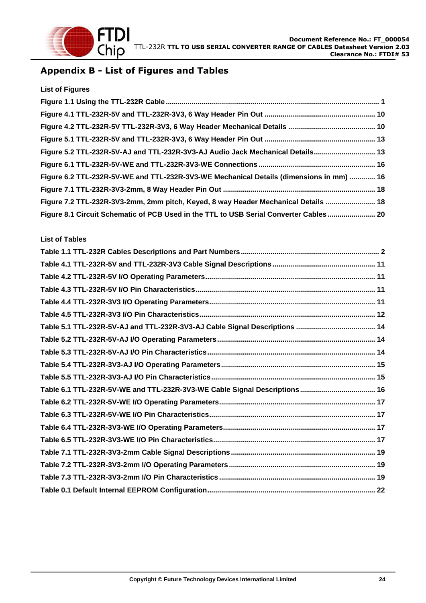

## <span id="page-24-0"></span>**Appendix B - List of Figures and Tables**

| <b>List of Figures</b>                                                                  |  |
|-----------------------------------------------------------------------------------------|--|
|                                                                                         |  |
|                                                                                         |  |
|                                                                                         |  |
|                                                                                         |  |
| Figure 5.2 TTL-232R-5V-AJ and TTL-232R-3V3-AJ Audio Jack Mechanical Details 13          |  |
|                                                                                         |  |
| Figure 6.2 TTL-232R-5V-WE and TTL-232R-3V3-WE Mechanical Details (dimensions in mm)  16 |  |
|                                                                                         |  |
| Figure 7.2 TTL-232R-3V3-2mm, 2mm pitch, Keyed, 8 way Header Mechanical Details  18      |  |
| Figure 8.1 Circuit Schematic of PCB Used in the TTL to USB Serial Converter Cables  20  |  |

#### **List of Tables**